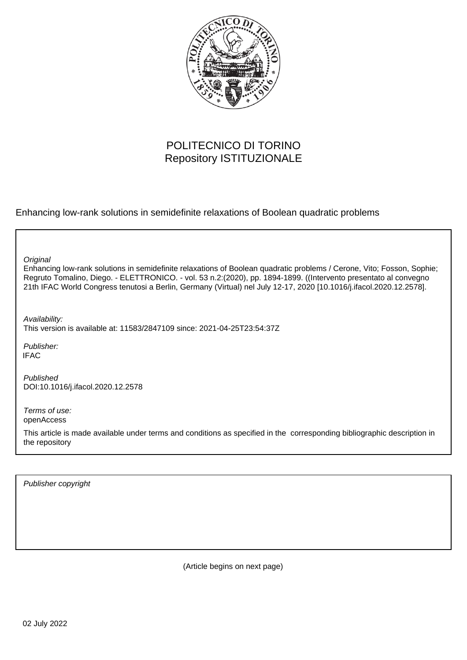

# POLITECNICO DI TORINO Repository ISTITUZIONALE

Enhancing low-rank solutions in semidefinite relaxations of Boolean quadratic problems

**Original** 

Enhancing low-rank solutions in semidefinite relaxations of Boolean quadratic problems / Cerone, Vito; Fosson, Sophie; Regruto Tomalino, Diego. - ELETTRONICO. - vol. 53 n.2:(2020), pp. 1894-1899. ((Intervento presentato al convegno 21th IFAC World Congress tenutosi a Berlin, Germany (Virtual) nel July 12-17, 2020 [10.1016/j.ifacol.2020.12.2578].

Availability: This version is available at: 11583/2847109 since: 2021-04-25T23:54:37Z

Publisher: **IFAC** 

Published DOI:10.1016/j.ifacol.2020.12.2578

Terms of use: openAccess

This article is made available under terms and conditions as specified in the corresponding bibliographic description in the repository

Publisher copyright

(Article begins on next page)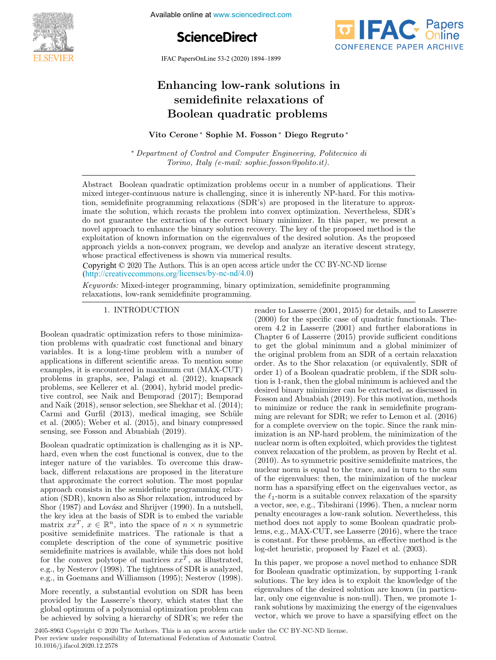

Available online at www.sciencedirect.com

**ScienceDirect**

IFAC PapersOnLine 53-2 (2020) 1894–1899

# Enhancing low-rank solutions in Enhancing low-rank solutions in semidefinite relaxations of Boolean quadratic problems semidefinite relaxations of semidefinite relaxations of Boolean quadratic problems Boolean quadratic problems

Vito Cerone ∗ Sophie M. Fosson ∗ Diego Regruto ∗ Vito Cerone ∗ Sophie M. Fosson ∗ Diego Regruto ∗

∗ Department of Control and Computer Engineering, Politecnico di Torino, Italy (e-mail: sophie.fosson@polito.it). ∗ Department of Control and Computer Engineering, Politecnico di ∗ Department of Control and Computer Engineering, Politecnico di Torino, Italy (e-mail: sophie.fosson@polito.it). Torino, Italy (e-mail: sophie.fosson@polito.it).

Abstract Boolean quadratic optimization problems occur in a number of applications. Their mixed integer-continuous nature is challenging, since it is inherently NP-hard. For this motivation, semidefinite programming relaxations (SDR's) are proposed in the literature to approxinate the solution, which recasts the problem into convex optimization. Nevertheless, SDR's do not guarantee the extraction of the correct binary minimizer. In this paper, we present a novel approach to enhance the binary solution recovery. The key of the proposed method is the exploitation of known information on the eigenvalues of the desired solution. As the proposed approach yields a non-convex program, we develop and analyze an iterative descent strategy, whose practical effectiveness is shown via numerical results.

Copyright © 2020 The Authors. This is an open access article under the CC BY-NC-ND license whose practical effectiveness is shown via numerical results. whose practical effectiveness is shown via numerical results.  $(\text{http://creativecommons.org/licenses/by-nc-nd/4.0})$ 

Keywords: Mixed-integer programming, binary optimization, semidefinite programming relaxations, low-rank semidefinite programming. relaxations, low-rank semidefinite programming.

# 1. INTRODUCTION 1. INTRODUCTION 1. INTRODUCTION

Boolean quadratic optimization refers to those minimiza-Boolean quadratic optimization refers to those minimizapoolean quadratic optimization refers to those imminizavioli problems with quadratic cost functional and binary applications in different scientific areas. To mention some variables. It is a long-time problem with a number of applications in different scientific areas. To mention some applications in unterent scientific areas. To member some examples, it is encountered in maximum cut (MAA-COT) problems in graphs, see, I alagi et al. (2012), khapsack problems, see ixenerer et al. (2004), hybrid moder predic-<br>time control, see Meils and Democrat (2017); Bemporad and N<sub>a</sub>ik (2018), see Talk and Demporad  $(2017)$ , Demporad  $(2017)$ and Naik (2016), sensor selection, see Shekhar et al. (2014);<br>Carmi and Gurfil (2013), medical imaging, see Schüle Carmi and Gurm (2013), medical imaging, see Schule<br>et al. (2005); Weber et al. (2015), and binary compressed sensing, see Fosson and Abuabiah (2019). et al. (2005); Weber et al. (2015), and binary compressed Boolean quadratic optimization refers to those minimiza-tion problems with quadratic cost functional and binary tion problems with quadratic cost functional and binary variables. It is a long-time problem with a number of applications in different scientific areas. To mention some examples, it is encountered in maximum cut (MAX-CUT) examples, it is encountered in maximum cut  $(MARCOT)$ <br>problems in graphs, see, Palagi et al. (2012), knapsack problems in graphs, see, Palagi et al. (2012), knapsack problems, see Kellerer et al. (2004), hybrid model predicproblems, see Kellerer et al. (2004), hybrid model predic-tive control, see Naik and Bemporad (2017); Bemporad tive control, see Naik and Bemporad (2017); Bemporad and Naik (2018), sensor selection, see Shekhar et al. (2014); sensing, see Fosson and Abuabiah (2019). sensing, see Fosson and Abuabiah (2019).

Boolean quadratic optimization is challenging as it is NPhard, even when the cost functional is convex, due to the Boolean quadratic optimization is challenging as it is NPinteger nature of the variables. To overcome this drawback, different relaxations are proposed in the literature pack, unterent relaxations are proposed in the interactive approximate the correct solution. The most popular approach consists in the semidentific programming relaxation (SDR), known also as Shor relaxation, introduced by<br>Share (1997) and Lordon and Shrijver (1999). In a nutshall the key idea at the basis of SDR is to embed the variable the key idea at the basis of SDR is to embed the variable<br>matrix  $xx^T$ ,  $x \in \mathbb{R}^n$ , into the space of  $n \times n$  symmetric matrix  $xx$ ,  $x \in \mathbb{R}$ , into the space of  $n \times n$  symmetric positive semidefinite matrices. The rationale is that a semidefinite matrices is available, while this does not hold  $f_{\text{scm}}$  is available, while this does not hold<br>semidefinite matrices is available, while this does not hold for the convex polytope of matrices  $xx$ , as must ated, e.g., by Nesterov (1990). The tightness of SDR is analyzed,<br>completely decreased Williamson (1995). Nesteron (1998). Boolean quadratic optimization is challenging as it is NP-hard, even when the cost functional is convex, due to the hard, even when the cost functional is convex, due to the integer nature of the variables. To overcome this drawinteger nature of the variables. To overcome this draw-back, different relaxations are proposed in the literature back, different relaxations are proposed in the literature that approximate the correct solution. The most popular that approximate the correct solution. The most popular approach consists in the semidefinite programming relaxapproach consists in the semidefinite programming relax-ation (SDR), known also as Shor relaxation, introduced by ation (SDR), known also as Shor relaxation, introduced by Shor (1987) and Lov´asz and Shrijver (1990). In a nutshell, Shor (1987) and Lov´asz and Shrijver (1990). In a nutshell, the key idea at the basis of SDR is to embed the variable matrix  $xx^T$ ,  $x \in \mathbb{R}^n$ , into the space of  $n \times n$  symmetric positive semidefinite matrices. The rationale is that a complete description of the cone of symmetric positive semidefinite matrices is available, while this does not hold for the convex polytope of matrices  $xx^T$ , as illustrated, for the convex polytope of matrices  $xx$ , as inustrated, e.g., by Nesterov (1998). The tightness of SDR is analyzed, e.g., by Nesterov (1990). The tightness of SDR is analyzed,<br>e.g., in Coomang and Williamson (1005): Nosterov (1008) e.g., in Goemans and Williamson (1995); Nesterov (1998). e.g., in Goemans and Williamson (1995); Nesterov (1998).

More recently, a substantial evolution on SDR has been More recently, a substantial evolution on SDR has been provided by the Lasserre's theory, which states that the More recently, a substantial evolution on SDR has been provided by the Lasserre's theory, which states that the global optimum of a polynomial optimization problem can provided by the Lasserre's theory, which states that the global optimum of a polynomial optimization problem can be achieved by solving a hierarchy of SDR's; we refer the global optimum of a polynomial optimization problem can be achieved by solving a hierarchy of SDR's; we refer the be achieved by solving a hierarchy of SDR's; we refer the reader to Lasserre (2001, 2015) for details, and to Lasserre reader to Lasserre (2001, 2015) for details, and to Lasserre reader to Lasserre (2001, 2015) for details, and to Lasserre (2000) for the specific case of quadratic functionals. The-(2000) for the specific case of quadratic functionals. The-<br>orem 4.2 in Lasserre (2001) and further elaborations in Orient 4.2 in Lasserre (2001) and further elaborations in  $C_1$  of Lasserre (2015) provide sufficient conditions Unapter 0 01 Lasserie (2010) provide sumerent conditions to get the grobal minimum and a grobal minimizer of order. As to the Shor relaxation (or equivalently, SDR of order 1) of a Boolean quadratic problem, if the SDR solution is 1-rank, then the global minimum is achieved and the desired binary minimizer can be extracted, as discussed in Fosson and Abuabiah (2019). For this motivation, methods desired binary minimizer can be extracted, as discussed in Fosson and Abuabiah (2019). For this motivation, methods to minimize or reduce the rank in semidefinite program-Fosson and Abuabiah (2019). For this motivation, methods to minimize or reduce the rank in semidefinite programto minimize or reduce the rank in semidefinite program-<br>ming are relevant for SDR; we refer to Lemon et al. (2016) for a complete overview on the topic. Since the rank minimization is an NP-hard problem, the minimization of the nuclear norm is often exploited, which provides the tightest nuclear norm is orden explored, which provides the tightest (2010). As to symmetric positive semidefinite matrices, the (2010). As to symmetric positive semidentitie matrices, the nuclear norm is equal to the trace, and in turn to the sum or the eigenvalues: then, the minimization or the interest the learning is a sparship in the subset of the sparsity is a suitable convex relaxation of the sparsity a vector, see, e.g., Tibshirani (1996). Then, a nuclear norm a vector, see, e.g., Thoshiram (1990). Then, a nuclear norm penany encourages a low-rain solution. Nevertheless, this lember and MAX-CUT, see Lasserre (2016), where the trace is constant. For these problems, an effective method is the log-det heuristic, proposed by Fazel et al. (2003). is constant. For these problems, an effective method is the orem 4.2 in Lasserre (2001) and further elaborations in Chapter 6 of Lasserre (2015) provide sufficient conditions Chapter 6 of Lasserre (2015) provide sufficient conditions to get the global minimum and a global minimizer of to get the global minimum and a global minimizer of the original problem from an SDR of a certain relaxation the original problem from an SDR of a certain relaxation order. As to the Shor relaxation (or equivalently, SDR of order. As to the Shor relaxation (or equivalently, SDR of order 1) of a Boolean quadratic problem, if the SDR soluorder 1) of a Boolean quadratic problem, if the SDR solu-tion is 1-rank, then the global minimum is achieved and the tion is 1-rank, then the global minimum is achieved and the desired binary minimizer can be extracted, as discussed in ming are relevant for SDR; we refer to Bellion et al. (2016)<br>for a complete overview on the topic. Since the rank minfor a complete overview on the topic. Since the rank min-imization is an NP-hard problem, the minimization of the mization is an NP-hard problem, the minimization of the<br>nuclear norm is often exploited, which provides the tightest nuclear norm is often exploited, which provides the tightest convex relaxation of the problem, as proven by Recht et al. convex relaxation of the problem, as proven by Recht et al. (2010). As to symmetric positive semidefinite matrices, the (2010). As to symmetric positive semidefinite matrices, the nuclear norm is equal to the trace, and in turn to the sum nuclear norm is equal to the trace, and in turn to the sum of the eigenvalues: then, the minimization of the nuclear of the eigenvalues: then, the minimization of the nuclear norm has a sparsifying effect on the eigenvalues vector, as  $\lim_{t \to \infty} \frac{d}{dt}$  a suitable convex relaxation of the sparsity a vector, see, e.g., Tibshirani (1996). Then, a nuclear norm a vector, see, e.g., Tibshirani (1996). Then, a nuclear norm penalty encourages a low-rank solution. Nevertheless, this penalty encourages a low-rank solution. Nevertheless, this method does not apply to some Boolean quadratic probmethod does not apply to some Boolean quadratic prob-lems, e.g., MAX-CUT, see Lasserre (2016), where the trace lems, e.g., MAX-CUT, see Lasserre (2016), where the trace is constant. For these problems, an effective method is the log-det heuristic, proposed by Fazel et al. (2003). log-det heuristic, proposed by Fazel et al. (2003).

**IFAC** Papers

CONFERENCE PAPER ARCHIVE

In this paper, we propose a novel method to enhance SDR In this paper, we propose a novel method to enhance SDR for Boolean quadratic optimization, by supporting 1-rank solutions. The level is to exploit the lacendary of the solutions. The key local is to exploit the knowledge of the lar, only one eigenvalue is non-null). Then, we promote 1- eigenvalues of the desired solution are known (in particu-lar, only one eigenvalue is non-null). Then, we promote 1 rank solutions by maximizing the energy of the eigenvalues lar, only one eigenvalue is non-null). Then, we promote 1- rank solutions by maximizing the energy of the eigenvalues vector, which we prove to have a sparsifying effect on the rank solutions by maximizing the energy of the eigenvalues In this paper, we propose a novel method to emailed SDR for Boolean quadratic optimization, by supporting 1-rank solutions. The key idea is to exploit the knowledge of the solutions. The key idea is to exploit the knowledge of the eigenvalues of the desired solution are known (in particuvector, which we prove to have a sparsifying effect on the vector, which we prove to have a sparsifying effect on the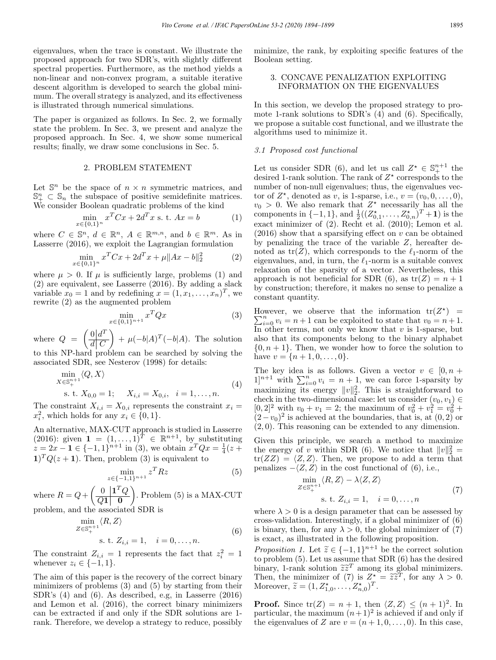eigenvalues, when the trace is constant. We illustrate the proposed approach for two SDR's, with slightly different spectral properties. Furthermore, as the method yields a non-linear and non-convex program, a suitable iterative descent algorithm is developed to search the global minimum. The overall strategy is analyzed, and its effectiveness is illustrated through numerical simulations.

The paper is organized as follows. In Sec. 2, we formally state the problem. In Sec. 3, we present and analyze the proposed approach. In Sec. 4, we show some numerical results; finally, we draw some conclusions in Sec. 5.

# 2. PROBLEM STATEMENT

Let  $\mathbb{S}^n$  be the space of  $n \times n$  symmetric matrices, and  $\mathbb{S}^n_+ \subset \mathbb{S}_n$  the subspace of positive semidefinite matrices. We consider Boolean quadratic problems of the kind

$$
\min_{x \in \{0,1\}^n} x^T C x + 2d^T x \text{ s. t. } Ax = b \tag{1}
$$

where  $C \in \mathbb{S}^n$ ,  $d \in \mathbb{R}^n$ ,  $A \in \mathbb{R}^{m,n}$ , and  $b \in \mathbb{R}^m$ . As in Lasserre (2016), we exploit the Lagrangian formulation

$$
\min_{x \in \{0,1\}^n} x^T C x + 2d^T x + \mu \|Ax - b\|_2^2 \tag{2}
$$

where  $\mu > 0$ . If  $\mu$  is sufficiently large, problems (1) and (2) are equivalent, see Lasserre (2016). By adding a slack variable  $x_0 = 1$  and by redefining  $x = (1, x_1, \ldots, x_n)^T$ , we rewrite (2) as the augmented problem

$$
\min_{x \in \{0,1\}^{n+1}} x^T Q x \tag{3}
$$

where  $Q = \left(\frac{0}{d}\right)d^T$  $d\vert \, C$  $\Big) + \mu(-b|A)^T(-b|A)$ . The solution to this NP-hard problem can be searched by solving the

associated SDR, see Nesterov (1998) for details:

$$
\min_{X \in \mathbb{S}_{+}^{n+1}} \langle Q, X \rangle
$$
  
s. t.  $X_{0,0} = 1$ ;  $X_{i,i} = X_{0,i}, i = 1, ..., n$ . (4)

The constraint  $X_{i,i} = X_{0,i}$  represents the constraint  $x_i =$  $x_i^2$ , which holds for any  $x_i \in \{0, 1\}.$ 

An alternative, MAX-CUT approach is studied in Lasserre (2016): given  $\mathbf{1} = (1, ..., 1)^T \in \mathbb{R}^{n+1}$ , by substituting  $z = 2x - 1 \in \{-1, 1\}^{n+1}$  in (3), we obtain  $x^T Q x = \frac{1}{4}(z +$  $1)^T Q(z + 1)$ . Then, problem (3) is equivalent to

$$
\min_{z \in \{-1,1\}^{n+1}} z^T R z \tag{5}
$$

where  $R = Q + \left(\begin{array}{c|c} 0 & \mathbf{1}^T Q \hline 0 & \mathbf{0} \end{array}\right)$  $Q\mathbf{1} \begin{array}{|c} 0 \end{array}$  $\overline{\phantom{0}}$ . Problem (5) is a MAX-CUT problem, and the associated SDR is

$$
\min_{Z \in \mathbb{S}_{+}^{n+1}} \langle R, Z \rangle
$$
  
s. t.  $Z_{i,i} = 1, \quad i = 0, \dots, n.$  (6)

The constraint  $Z_{i,i} = 1$  represents the fact that  $z_i^2 = 1$ whenever  $z_i \in \{-1, 1\}.$ 

The aim of this paper is the recovery of the correct binary minimizers of problems (3) and (5) by starting from their SDR's (4) and (6). As described, e.g, in Lasserre (2016) and Lemon et al. (2016), the correct binary minimizers can be extracted if and only if the SDR solutions are 1 rank. Therefore, we develop a strategy to reduce, possibly minimize, the rank, by exploiting specific features of the Boolean setting.

# 3. CONCAVE PENALIZATION EXPLOITING INFORMATION ON THE EIGENVALUES

In this section, we develop the proposed strategy to promote 1-rank solutions to SDR's (4) and (6). Specifically, we propose a suitable cost functional, and we illustrate the algorithms used to minimize it.

# 3.1 Proposed cost functional

Let us consider SDR (6), and let us call  $Z^* \in \mathbb{S}^{n+1}_+$  the desired 1-rank solution. The rank of  $Z^*$  corresponds to the number of non-null eigenvalues; thus, the eigenvalues vector of  $Z^*$ , denoted as v, is 1-sparse, i.e.,  $v = (v_0, 0, \ldots, 0)$ ,  $v_0 > 0$ . We also remark that  $Z^*$  necessarily has all the components in  $\{-1, 1\}$ , and  $\frac{1}{2}((Z_{0,1}^*, \ldots, Z_{0,n}^*)^T + 1)$  is the exact minimizer of (2). Recht et al. (2010); Lemon et al.  $(2016)$  show that a sparsifying effect on v can be obtained by penalizing the trace of the variable  $Z$ , hereafter denoted as  $tr(Z)$ , which corresponds to the  $\ell_1$ -norm of the eigenvalues, and, in turn, the  $\ell_1$ -norm is a suitable convex relaxation of the sparsity of a vector. Nevertheless, this approach is not beneficial for SDR (6), as  $tr(Z) = n + 1$ by construction; therefore, it makes no sense to penalize a constant quantity.

However, we observe that the information  $tr(Z^*$ However, we observe that the information  $tr(Z^*)$  =  $\sum_{i=0}^n v_i = n+1$  can be exploited to state that  $v_0 = n+1$ . In other terms, not only we know that  $v$  is 1-sparse, but also that its components belong to the binary alphabet  $\{0, n+1\}$ . Then, we wonder how to force the solution to have  $v = \{n+1, 0, \ldots, 0\}.$ 

The key idea is as follows. Given a vector  $v \in [0, n + 1]^{n+1}$  with  $\sum_{i=0}^{n} v_i = n + 1$ , we can force 1-sparsity by maximizing its energy  $||v||_2^2$ . This is straightforward to check in the two-dimensional case: let us consider  $(v_0, v_1) \in$  $[0, 2]^2$  with  $v_0 + v_1 = 2$ ; the maximum of  $v_0^2 + v_1^2 = v_0^2 +$  $(2-v_0)^2$  is achieved at the boundaries, that is, at  $(0, 2)$  or (2, 0). This reasoning can be extended to any dimension.

Given this principle, we search a method to maximize the energy of v within SDR (6). We notice that  $||v||_2^2 =$  $tr(ZZ) = \langle Z, Z \rangle$ . Then, we propose to add a term that penalizes  $-\langle Z, Z \rangle$  in the cost functional of (6), i.e.,

$$
\min_{Z \in \mathbb{S}_{+}^{n+1}} \langle R, Z \rangle - \lambda \langle Z, Z \rangle
$$
  
s. t.  $Z_{i,i} = 1, \quad i = 0, ..., n$  (7)

where  $\lambda > 0$  is a design parameter that can be assessed by cross-validation. Interestingly, if a global minimizer of (6) is binary, then, for any  $\lambda > 0$ , the global minimizer of (7) is exact, as illustrated in the following proposition.

*Proposition 1.* Let  $\tilde{z} \in \{-1,1\}^{n+1}$  be the correct solution to problem (5). Let us assume that SDR (6) has the desired binary, 1-rank solution  $\widetilde{z}\widetilde{z}^T$  among its global minimizers.<br>Then the minimizer of  $(7)$  is  $Z^* = \widetilde{z}\widetilde{z}^T$  for any  $y > 0$ . Then, the minimizer of (7) is  $Z^* = \widetilde{z} \widetilde{z}^T$ , for any  $\lambda > 0$ .<br>Moreover  $\widetilde{z} = (1, 7^*)$ Moreover,  $\widetilde{z} = (1, Z_{1,0}^*, \ldots, Z_{n,0}^*)^T$ .

**Proof.** Since  $tr(Z) = n + 1$ , then  $\langle Z, Z \rangle \leq (n + 1)^2$ . In particular, the maximum  $(n+1)^2$  is achieved if and only if the eigenvalues of Z are  $v = (n + 1, 0, \ldots, 0)$ . In this case,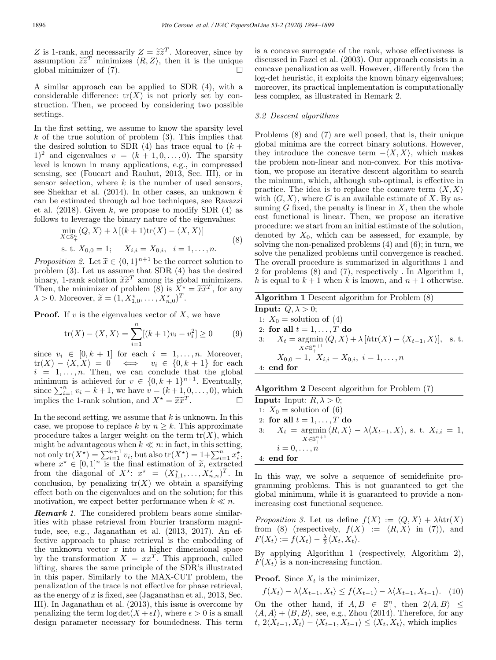Z is 1-rank, and necessarily  $Z = \tilde{z}\tilde{z}^T$ . Moreover, since by assumption  $\tilde{z}\tilde{z}^T$  minimizes  $\langle R, Z \rangle$ , then it is the unique global minimizer of (7) global minimizer of (7).

A similar approach can be applied to SDR (4), with a considerable difference:  $tr(X)$  is not priorly set by construction. Then, we proceed by considering two possible settings.

In the first setting, we assume to know the sparsity level  $k$  of the true solution of problem  $(3)$ . This implies that the desired solution to SDR (4) has trace equal to  $(k +$  $(1)^2$  and eigenvalues  $v = (k + 1, 0, \ldots, 0)$ . The sparsity level is known in many applications, e.g., in compressed sensing, see (Foucart and Rauhut, 2013, Sec. III), or in sensor selection, where  $k$  is the number of used sensors, see Shekhar et al.  $(2014)$ . In other cases, an unknown k can be estimated through ad hoc techniques, see Ravazzi et al.  $(2018)$ . Given k, we propose to modify SDR  $(4)$  as follows to leverage the binary nature of the eigenvalues:

$$
\min_{X \in \mathbb{S}_+^n} \langle Q, X \rangle + \lambda \left[ (k+1) \text{tr}(X) - \langle X, X \rangle \right]
$$
\n
$$
\text{s. t. } X_{0,0} = 1; \quad X_{i,i} = X_{0,i}, \quad i = 1, \dots, n. \tag{8}
$$

*Proposition 2.* Let  $\tilde{x} \in \{0,1\}^{n+1}$  be the correct solution to problem (3). Let us assume that SDR (4) has the desired binary, 1-rank solution  $\tilde{x}\tilde{x}^T$  among its global minimizers. Then, the minimizer of problem (8) is  $\overline{X}^* = \widetilde{x} \widetilde{x}^T$ , for any  $\lambda > 0$ . Moreover,  $\tilde{x} = (1, X_{1,0}^*, \ldots, X_{n,0}^*)^T$ .

**Proof.** If v is the eigenvalues vector of X, we have

$$
\text{tr}(X) - \langle X, X \rangle = \sum_{i=1}^{n} [(k+1)v_i - v_i^2] \ge 0 \tag{9}
$$

since  $v_i \in [0, k + 1]$  for each  $i = 1, \ldots, n$ . Moreover,  $tr(X) - \langle X, X \rangle = 0 \iff v_i \in \{0, k+1\}$  for each  $i = 1, \ldots, n$ . Then, we can conclude that the global minimum is achieved for  $v \in \{0, k+1\}^{n+1}$ . Eventually, since  $\sum_{i=1}^{n} v_i = k+1$ , we have  $v = (k+1, 0, \ldots, 0)$ , which implies the 1-rank solution, and  $X^* = \tilde{x}\tilde{x}^T$ .

In the second setting, we assume that  $k$  is unknown. In this case, we propose to replace k by  $n \geq k$ . This approximate procedure takes a larger weight on the term  $tr(X)$ , which might be advantageous when  $k \ll n$ : in fact, in this setting, not only  $tr(X^*) = \sum_{i=1}^{n+1} v_i$ , but also  $tr(X^*) = 1 + \sum_{i=1}^{n} x_i^*$ , where  $x^* \in [0,1]^n$  is the final estimation of  $\tilde{x}$ , extracted from the diagonal of  $X^*$ :  $x^* = (X^*_{1,1}, \ldots, X^*_{n,n})^T$ . In conclusion, by penalizing  $tr(X)$  we obtain a sparsifying effect both on the eigenvalues and on the solution; for this motivation, we expect better performance when  $k \ll n$ .

**Remark** 1. The considered problem bears some similarities with phase retrieval from Fourier transform magnitude, see, e.g., Jaganathan et al. (2013, 2017). An effective approach to phase retrieval is the embedding of the unknown vector  $x$  into a higher dimensional space by the transformation  $X = xx^T$ . This approach, called lifting, shares the same principle of the SDR's illustrated in this paper. Similarly to the MAX-CUT problem, the penalization of the trace is not effective for phase retrieval, as the energy of  $x$  is fixed, see (Jaganathan et al., 2013, Sec. III). In Jaganathan et al. (2013), this issue is overcome by penalizing the term  $\log \det(X + \epsilon I)$ , where  $\epsilon > 0$  is a small design parameter necessary for boundedness. This term

is a concave surrogate of the rank, whose effectiveness is discussed in Fazel et al. (2003). Our approach consists in a concave penalization as well. However, differently from the log-det heuristic, it exploits the known binary eigenvalues; moreover, its practical implementation is computationally less complex, as illustrated in Remark 2.

#### 3.2 Descent algorithms

Problems (8) and (7) are well posed, that is, their unique global minima are the correct binary solutions. However, they introduce the concave term  $-\langle X, X \rangle$ , which makes the problem non-linear and non-convex. For this motivation, we propose an iterative descent algorithm to search the minimum, which, although sub-optimal, is effective in practice. The idea is to replace the concave term  $\langle X, X \rangle$ with  $\langle G, X \rangle$ , where G is an available estimate of X. By assuming  $G$  fixed, the penalty is linear in  $X$ , then the whole cost functional is linear. Then, we propose an iterative procedure: we start from an initial estimate of the solution, denoted by  $X_0$ , which can be assessed, for example, by solving the non-penalized problems (4) and (6); in turn, we solve the penalized problems until convergence is reached. The overall procedure is summarized in algorithms 1 and 2 for problems (8) and (7), respectively . In Algorithm 1, h is equal to  $k + 1$  when k is known, and  $n + 1$  otherwise.

Algorithm 1 Descent algorithm for Problem (8)

**Input:**  $Q, \lambda > 0$ ; 1:  $X_0$  = solution of (4) 2: for all  $t = 1, \ldots, T$  do 3:  $X_t = \operatorname{argmin}_{(Q, X) \to \lambda} \{ h \text{tr}(X) - \langle X_{t-1}, X \rangle \}, \text{ s. t.}$  $X\!\in\!\mathbb{S}^{n+1}$  $X_{0,0} = 1, X_{i,i} = X_{0,i}, i = 1,\ldots,n$ 4: end for

| <b>Algorithm 2</b> Descent algorithm for Problem (7) |  |  |  |  |  |  |  |
|------------------------------------------------------|--|--|--|--|--|--|--|
|------------------------------------------------------|--|--|--|--|--|--|--|

**Input:** Input:  $R, \lambda > 0$ ; 1:  $X_0$  = solution of (6) 2: for all  $t = 1, \ldots, T$  do 3:  $X_t = \operatorname{argmin}_{[R, X]} \langle R, X \rangle - \lambda \langle X_{t-1}, X \rangle$ , s. t.  $X_{i,i} = 1$ ,  $X\in\mathbb{S}^{n+1}_+$  $i=0,\ldots,n$ 4: end for

In this way, we solve a sequence of semidefinite programming problems. This is not guaranteed to get the global minimum, while it is guaranteed to provide a nonincreasing cost functional sequence.

Proposition 3. Let us define  $f(X) := \langle Q, X \rangle + \lambda h \text{tr}(X)$ from (8) (respectively,  $f(X) := \langle R, X \rangle$  in (7)), and  $F(X_t) := f(X_t) - \frac{\lambda}{2} \langle X_t, X_t \rangle.$ 

By applying Algorithm 1 (respectively, Algorithm 2),  $F(X_t)$  is a non-increasing function.

**Proof.** Since  $X_t$  is the minimizer,

 $f(X_t) - \lambda \langle X_{t-1}, X_t \rangle \leq f(X_{t-1}) - \lambda \langle X_{t-1}, X_{t-1} \rangle$ . (10) On the other hand, if  $A, B \in \mathbb{S}^n_+$ , then  $2\langle A, B \rangle \le$  $\langle A, A \rangle + \langle B, B \rangle$ , see, e.g., Zhou (2014). Therefore, for any  $t, 2\langle X_{t-1}, X_t\rangle - \langle X_{t-1}, X_{t-1}\rangle \leq \langle X_t, X_t\rangle$ , which implies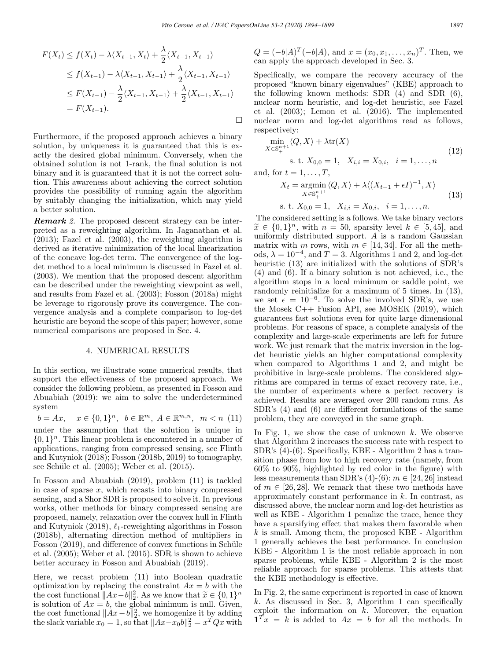$$
F(X_t) \le f(X_t) - \lambda \langle X_{t-1}, X_t \rangle + \frac{\lambda}{2} \langle X_{t-1}, X_{t-1} \rangle
$$
  
\n
$$
\le f(X_{t-1}) - \lambda \langle X_{t-1}, X_{t-1} \rangle + \frac{\lambda}{2} \langle X_{t-1}, X_{t-1} \rangle
$$
  
\n
$$
\le F(X_{t-1}) - \frac{\lambda}{2} \langle X_{t-1}, X_{t-1} \rangle + \frac{\lambda}{2} \langle X_{t-1}, X_{t-1} \rangle
$$
  
\n
$$
= F(X_{t-1}).
$$

Furthermore, if the proposed approach achieves a binary solution, by uniqueness it is guaranteed that this is exactly the desired global minimum. Conversely, when the obtained solution is not 1-rank, the final solution is not binary and it is guaranteed that it is not the correct solution. This awareness about achieving the correct solution provides the possibility of running again the algorithm by suitably changing the initialization, which may yield a better solution.

Remark 2. The proposed descent strategy can be interpreted as a reweighting algorithm. In Jaganathan et al. (2013); Fazel et al. (2003), the reweighting algorithm is derived as iterative minimization of the local linearization of the concave log-det term. The convergence of the logdet method to a local minimum is discussed in Fazel et al. (2003). We mention that the proposed descent algorithm can be described under the reweighting viewpoint as well, and results from Fazel et al. (2003); Fosson (2018a) might be leverage to rigorously prove its convergence. The convergence analysis and a complete comparison to log-det heuristic are beyond the scope of this paper; however, some numerical comparisons are proposed in Sec. 4.

#### 4. NUMERICAL RESULTS

In this section, we illustrate some numerical results, that support the effectiveness of the proposed approach. We consider the following problem, as presented in Fosson and Abuabiah (2019): we aim to solve the underdetermined system

$$
b = Ax, \quad x \in \{0, 1\}^n, \ b \in \mathbb{R}^m, \ A \in \mathbb{R}^{m, n}, \ m < n \ (11)
$$

under the assumption that the solution is unique in  $\{0,1\}^n$ . This linear problem is encountered in a number of applications, ranging from compressed sensing, see Flinth and Kutyniok (2018); Fosson (2018b, 2019) to tomography, see Schüle et al.  $(2005)$ ; Weber et al.  $(2015)$ .

In Fosson and Abuabiah (2019), problem (11) is tackled in case of sparse  $x$ , which recasts into binary compressed sensing, and a Shor SDR is proposed to solve it. In previous works, other methods for binary compressed sensing are proposed, namely, relaxation over the convex hull in Flinth and Kutyniok (2018),  $\ell_1$ -reweighting algorithms in Fosson (2018b), alternating direction method of multipliers in Fosson (2019), and difference of convex functions in Schüle et al. (2005); Weber et al. (2015). SDR is shown to achieve better accuracy in Fosson and Abuabiah (2019).

Here, we recast problem (11) into Boolean quadratic optimization by replacing the constraint  $Ax = b$  with the the cost functional  $||Ax-b||_2^2$ . As we know that  $\tilde{x} \in \{0,1\}^n$ is solution of  $Ax = b$ , the global minimum is null. Given, the cost functional  $||Ax-b||_2^2$ , we homogenize it by adding the slack variable  $x_0 = 1$ , so that  $||Ax-x_0b||_2^2 = x^T Q x$  with

 $Q = (-b|A)^{T}(-b|A)$ , and  $x = (x_0, x_1, \ldots, x_n)^{T}$ . Then, we can apply the approach developed in Sec. 3.

Specifically, we compare the recovery accuracy of the proposed "known binary eigenvalues" (KBE) approach to the following known methods: SDR (4) and SDR (6), nuclear norm heuristic, and log-det heuristic, see Fazel et al. (2003); Lemon et al. (2016). The implemented nuclear norm and log-det algorithms read as follows, respectively:

$$
\min_{X \in \mathbb{S}_{+}^{n+1}} \langle Q, X \rangle + \lambda \text{tr}(X) \n\text{s. t. } X_{0,0} = 1, \quad X_{i,i} = X_{0,i}, \quad i = 1, \dots, n
$$
\n(12)

and, for  $t = 1, \ldots, T$ ,

$$
X_t = \underset{X \in \mathbb{S}_+^{n+1}}{\operatorname{argmin}} \langle Q, X \rangle + \lambda \langle (X_{t-1} + \epsilon I)^{-1}, X \rangle
$$
  
s. t.  $X_{0,0} = 1, X_{i,i} = X_{0,i}, i = 1, ..., n.$  (13)

The considered setting is a follows. We take binary vectors  $\tilde{x} \in \{0,1\}^n$ , with  $n = 50$ , sparsity level  $k \in [5, 45]$ , and uniformly distributed support. A is a random Gaussian matrix with m rows, with  $m \in [14, 34]$ . For all the methods,  $\lambda = 10^{-4}$ , and  $T = 3$ . Algorithms 1 and 2, and log-det heuristic (13) are initialized with the solutions of SDR's (4) and (6). If a binary solution is not achieved, i.e., the algorithm stops in a local minimum or saddle point, we randomly reinitialize for a maximum of 5 times. In (13), we set  $\epsilon = 10^{-6}$ . To solve the involved SDR's, we use the Mosek C++ Fusion API, see MOSEK (2019), which guarantees fast solutions even for quite large dimensional problems. For reasons of space, a complete analysis of the complexity and large-scale experiments are left for future work. We just remark that the matrix inversion in the logdet heuristic yields an higher computational complexity when compared to Algorithms 1 and 2, and might be prohibitive in large-scale problems. The considered algorithms are compared in terms of exact recovery rate, i.e., the number of experiments where a perfect recovery is achieved. Results are averaged over 200 random runs. As SDR's (4) and (6) are different formulations of the same problem, they are conveyed in the same graph.

In Fig. 1, we show the case of unknown  $k$ . We observe that Algorithm 2 increases the success rate with respect to SDR's (4)-(6). Specifically, KBE - Algorithm 2 has a transition phase from low to high recovery rate (namely, from 60% to 90%, highlighted by red color in the figure) with less measurements than SDR's  $(4)-(6)$ :  $m \in [24, 26]$  instead of  $m \in [26, 28]$ . We remark that these two methods have approximately constant performance in  $k$ . In contrast, as discussed above, the nuclear norm and log-det heuristics as well as KBE - Algorithm 1 penalize the trace, hence they have a sparsifying effect that makes them favorable when  $k$  is small. Among them, the proposed KBE - Algorithm 1 generally achieves the best performance. In conclusion KBE - Algorithm 1 is the most reliable approach in non sparse problems, while KBE - Algorithm 2 is the most reliable approach for sparse problems. This attests that the KBE methodology is effective.

In Fig. 2, the same experiment is reported in case of known k. As discussed in Sec. 3, Algorithm 1 can specifically exploit the information on  $k$ . Moreover, the equation  $\mathbf{1}^T x = k$  is added to  $Ax = b$  for all the methods. In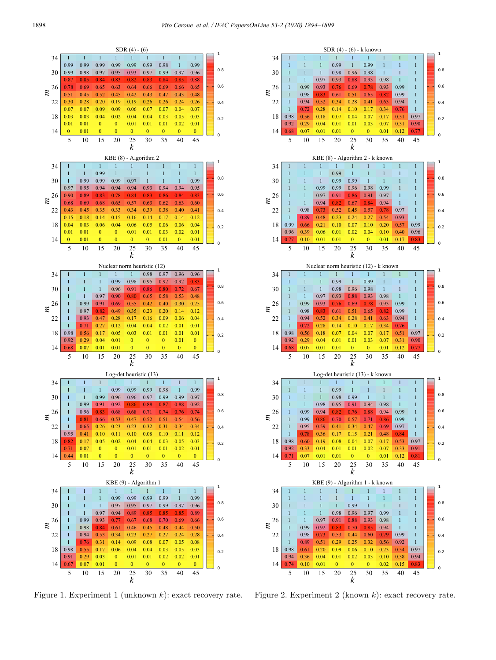

Figure 1. Experiment 1 (unknown  $k$ ): exact recovery rate.



Figure 2. Experiment 2 (known  $k$ ): exact recovery rate.